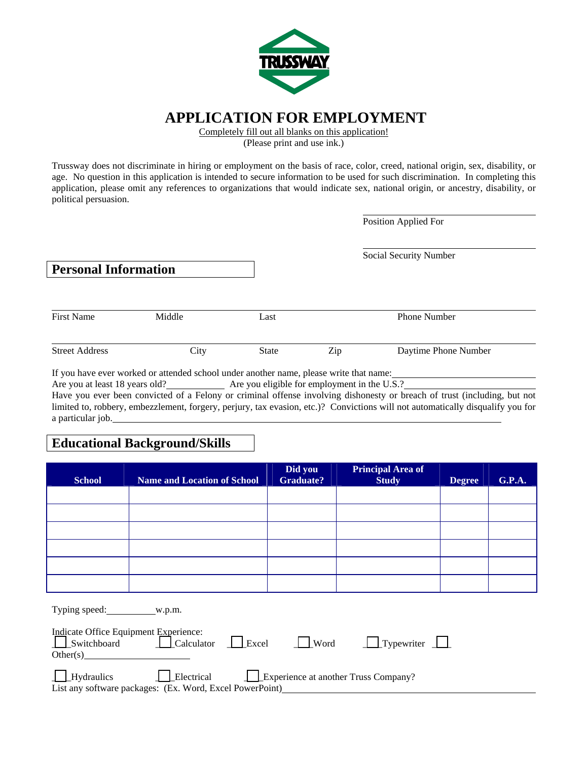

#### **APPLICATION FOR EMPLOYMENT**

Completely fill out all blanks on this application!

(Please print and use ink.)

Trussway does not discriminate in hiring or employment on the basis of race, color, creed, national origin, sex, disability, or age. No question in this application is intended to secure information to be used for such discrimination. In completing this application, please omit any references to organizations that would indicate sex, national origin, or ancestry, disability, or political persuasion.

Position Applied For

| <b>Personal Information</b> |                                                                                                                                     |       | Social Security Number                                                                                                                                                                                                             |                      |
|-----------------------------|-------------------------------------------------------------------------------------------------------------------------------------|-------|------------------------------------------------------------------------------------------------------------------------------------------------------------------------------------------------------------------------------------|----------------------|
| <b>First Name</b>           | Middle                                                                                                                              | Last  |                                                                                                                                                                                                                                    | Phone Number         |
| <b>Street Address</b>       | City                                                                                                                                | State | Zip                                                                                                                                                                                                                                | Daytime Phone Number |
| $\mathbf{r}$ . $\mathbf{r}$ | $\mathbf{A}$ and $\mathbf{A}$ and $\mathbf{A}$ and $\mathbf{A}$ and $\mathbf{A}$ and $\mathbf{A}$ and $\mathbf{A}$ and $\mathbf{A}$ |       | $\bullet$ . The contract of the contract of the contract of the contract of the contract of the contract of the contract of the contract of the contract of the contract of the contract of the contract of the contract of the co |                      |

If you have ever worked or attended school under another name, please write that name: Are you at least 18 years old? Are you eligible for employment in the U.S.?

Have you ever been convicted of a Felony or criminal offense involving dishonesty or breach of trust (including, but not limited to, robbery, embezzlement, forgery, perjury, tax evasion, etc.)? Convictions will not automatically disqualify you for a particular job.

#### **Educational Background/Skills**

| <b>School</b>                         | <b>Name and Location of School</b> | Did you<br><b>Graduate?</b> | <b>Principal Area of</b><br><b>Study</b> | <b>Degree</b> | <b>G.P.A.</b> |
|---------------------------------------|------------------------------------|-----------------------------|------------------------------------------|---------------|---------------|
|                                       |                                    |                             |                                          |               |               |
|                                       |                                    |                             |                                          |               |               |
|                                       |                                    |                             |                                          |               |               |
|                                       |                                    |                             |                                          |               |               |
|                                       |                                    |                             |                                          |               |               |
|                                       |                                    |                             |                                          |               |               |
|                                       |                                    |                             |                                          |               |               |
| Indicate Office Equipment Experience: | —                                  |                             |                                          |               |               |

| Switchboard<br>Other(s)                                  | $\Box$ Calculator $\Box$ Excel | Word | $\Box$ Typewriter $\Box$             |  |
|----------------------------------------------------------|--------------------------------|------|--------------------------------------|--|
|                                                          |                                |      |                                      |  |
| $\Box$ Hydraulics                                        | I Electrical                   |      | Experience at another Truss Company? |  |
| List any software packages: (Ex. Word, Excel PowerPoint) |                                |      |                                      |  |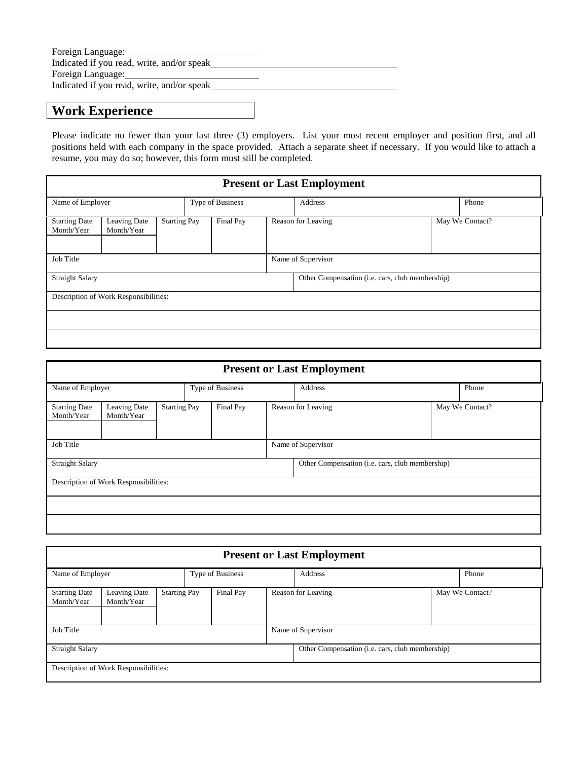| Foreign Language:                          |  |
|--------------------------------------------|--|
| Indicated if you read, write, and/or speak |  |
| Foreign Language: 1997                     |  |
| Indicated if you read, write, and/or speak |  |
|                                            |  |

## **Work Experience**

Please indicate no fewer than your last three (3) employers. List your most recent employer and position first, and all positions held with each company in the space provided. Attach a separate sheet if necessary. If you would like to attach a resume, you may do so; however, this form must still be completed.

| <b>Present or Last Employment</b>     |                            |                     |  |           |         |                                                 |  |       |  |  |
|---------------------------------------|----------------------------|---------------------|--|-----------|---------|-------------------------------------------------|--|-------|--|--|
| Name of Employer                      |                            | Type of Business    |  |           | Address |                                                 |  | Phone |  |  |
| <b>Starting Date</b><br>Month/Year    | Leaving Date<br>Month/Year | <b>Starting Pay</b> |  | Final Pay |         | Reason for Leaving<br>May We Contact?           |  |       |  |  |
| Job Title<br>Name of Supervisor       |                            |                     |  |           |         |                                                 |  |       |  |  |
| <b>Straight Salary</b>                |                            |                     |  |           |         | Other Compensation (i.e. cars, club membership) |  |       |  |  |
| Description of Work Responsibilities: |                            |                     |  |           |         |                                                 |  |       |  |  |
|                                       |                            |                     |  |           |         |                                                 |  |       |  |  |
|                                       |                            |                     |  |           |         |                                                 |  |       |  |  |

| <b>Present or Last Employment</b>     |                            |                     |  |                                 |                                                 |                 |       |  |  |
|---------------------------------------|----------------------------|---------------------|--|---------------------------------|-------------------------------------------------|-----------------|-------|--|--|
| Name of Employer                      |                            | Type of Business    |  |                                 | Address                                         |                 | Phone |  |  |
| <b>Starting Date</b><br>Month/Year    | Leaving Date<br>Month/Year | <b>Starting Pay</b> |  | Final Pay<br>Reason for Leaving |                                                 | May We Contact? |       |  |  |
| Job Title                             |                            |                     |  |                                 | Name of Supervisor                              |                 |       |  |  |
| <b>Straight Salary</b>                |                            |                     |  |                                 | Other Compensation (i.e. cars, club membership) |                 |       |  |  |
| Description of Work Responsibilities: |                            |                     |  |                                 |                                                 |                 |       |  |  |
|                                       |                            |                     |  |                                 |                                                 |                 |       |  |  |
|                                       |                            |                     |  |                                 |                                                 |                 |       |  |  |

|                                    | <b>Present or Last Employment</b>     |                     |                  |                                 |         |                                                 |  |       |                 |
|------------------------------------|---------------------------------------|---------------------|------------------|---------------------------------|---------|-------------------------------------------------|--|-------|-----------------|
| Name of Employer                   |                                       |                     | Type of Business |                                 | Address |                                                 |  | Phone |                 |
| <b>Starting Date</b><br>Month/Year | Leaving Date<br>Month/Year            | <b>Starting Pay</b> |                  | Final Pay<br>Reason for Leaving |         |                                                 |  |       | May We Contact? |
| Job Title                          |                                       |                     |                  |                                 |         | Name of Supervisor                              |  |       |                 |
| <b>Straight Salary</b>             |                                       |                     |                  |                                 |         | Other Compensation (i.e. cars, club membership) |  |       |                 |
|                                    | Description of Work Responsibilities: |                     |                  |                                 |         |                                                 |  |       |                 |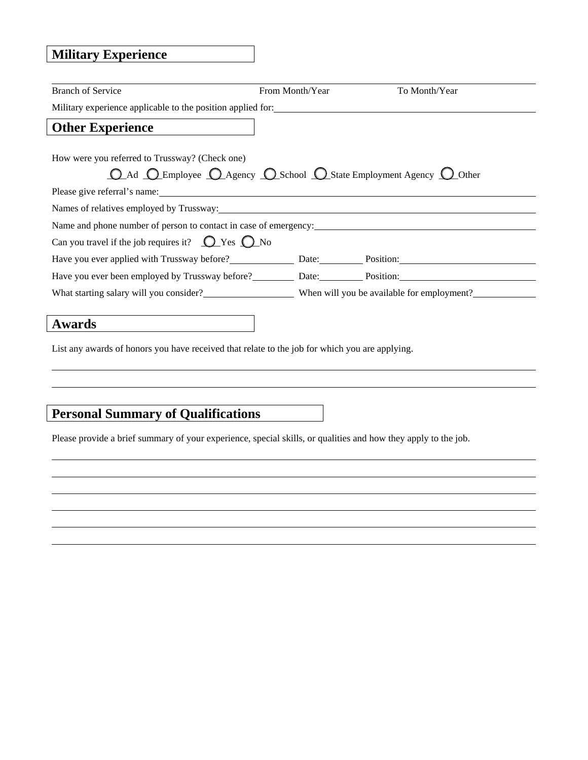# **Military Experience**

| <b>Branch of Service</b>                                                                                       | From Month/Year | To Month/Year |
|----------------------------------------------------------------------------------------------------------------|-----------------|---------------|
| Military experience applicable to the position applied for:                                                    |                 |               |
| <b>Other Experience</b>                                                                                        |                 |               |
| How were you referred to Trussway? (Check one)                                                                 |                 |               |
| <b>O_Ad_O_Employee O_Agency O_School O_State Employment Agency O_Other</b>                                     |                 |               |
|                                                                                                                |                 |               |
| Names of relatives employed by Trussway: 1992. The contract of the contract of relatives employed by Trussway: |                 |               |
| Name and phone number of person to contact in case of emergency:                                               |                 |               |
| Can you travel if the job requires it? $\bigcirc$ Yes $\bigcirc$ No                                            |                 |               |
|                                                                                                                |                 |               |
| Have you ever been employed by Trussway before? Date: Position: Position:                                      |                 |               |
| What starting salary will you consider?<br>When will you be available for employment?                          |                 |               |
|                                                                                                                |                 |               |
| Awards                                                                                                         |                 |               |

List any awards of honors you have received that relate to the job for which you are applying.

## **Personal Summary of Qualifications**

Please provide a brief summary of your experience, special skills, or qualities and how they apply to the job.